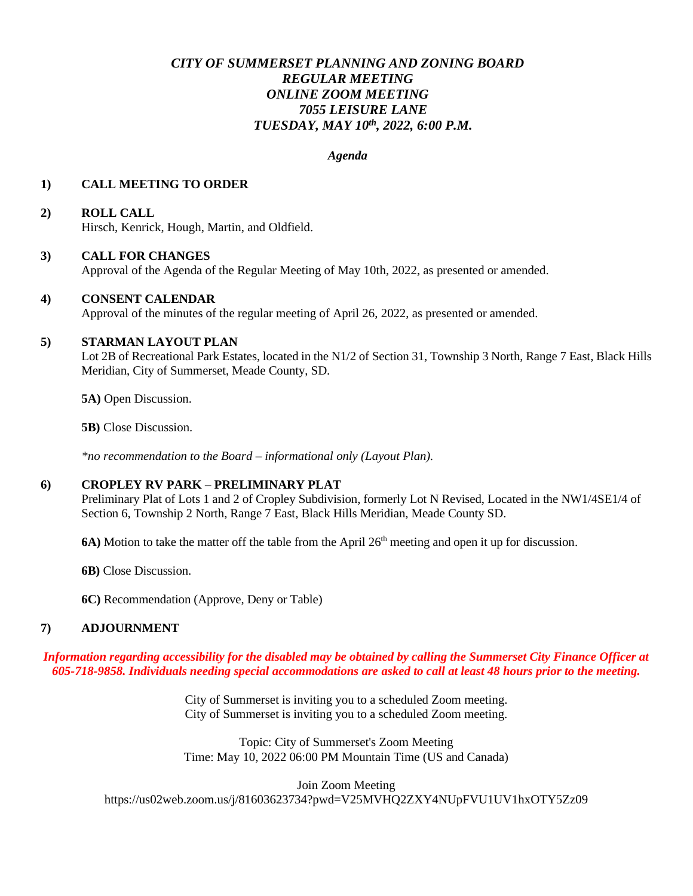# *CITY OF SUMMERSET PLANNING AND ZONING BOARD REGULAR MEETING ONLINE ZOOM MEETING 7055 LEISURE LANE TUESDAY, MAY 10th , 2022, 6:00 P.M.*

#### *Agenda*

#### **1) CALL MEETING TO ORDER**

# **2) ROLL CALL**

Hirsch, Kenrick, Hough, Martin, and Oldfield.

#### **3) CALL FOR CHANGES**

Approval of the Agenda of the Regular Meeting of May 10th, 2022, as presented or amended.

#### **4) CONSENT CALENDAR**

Approval of the minutes of the regular meeting of April 26, 2022, as presented or amended.

### **5) STARMAN LAYOUT PLAN**

Lot 2B of Recreational Park Estates, located in the N1/2 of Section 31, Township 3 North, Range 7 East, Black Hills Meridian, City of Summerset, Meade County, SD.

**5A)** Open Discussion.

**5B)** Close Discussion.

*\*no recommendation to the Board – informational only (Layout Plan).*

#### **6) CROPLEY RV PARK – PRELIMINARY PLAT**

Preliminary Plat of Lots 1 and 2 of Cropley Subdivision, formerly Lot N Revised, Located in the NW1/4SE1/4 of Section 6, Township 2 North, Range 7 East, Black Hills Meridian, Meade County SD.

**6A)** Motion to take the matter off the table from the April 26<sup>th</sup> meeting and open it up for discussion.

**6B)** Close Discussion.

**6C)** Recommendation (Approve, Deny or Table)

### **7) ADJOURNMENT**

*Information regarding accessibility for the disabled may be obtained by calling the Summerset City Finance Officer at 605-718-9858. Individuals needing special accommodations are asked to call at least 48 hours prior to the meeting.*

> City of Summerset is inviting you to a scheduled Zoom meeting. City of Summerset is inviting you to a scheduled Zoom meeting.

> Topic: City of Summerset's Zoom Meeting Time: May 10, 2022 06:00 PM Mountain Time (US and Canada)

> > Join Zoom Meeting

https://us02web.zoom.us/j/81603623734?pwd=V25MVHQ2ZXY4NUpFVU1UV1hxOTY5Zz09